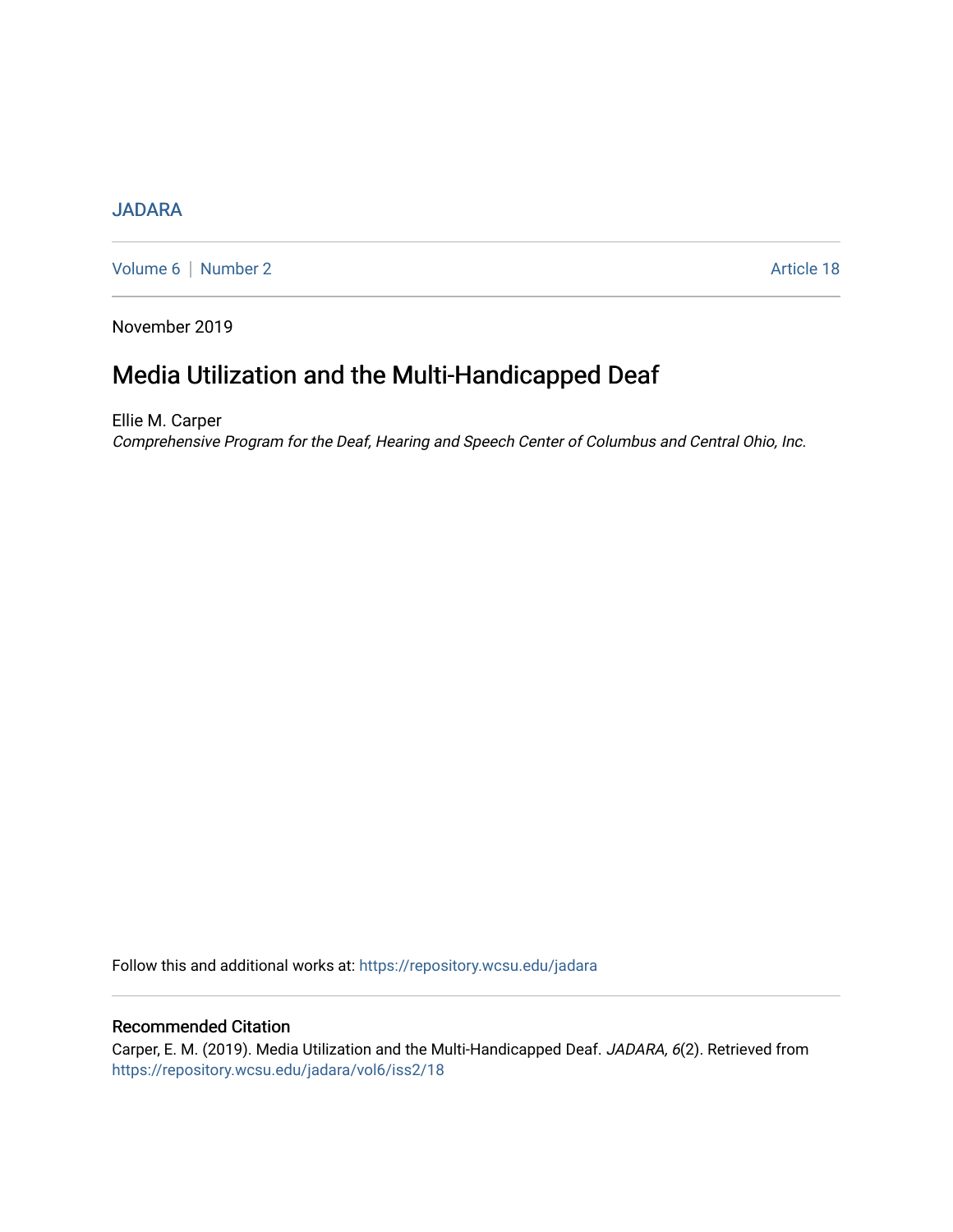## **[JADARA](https://repository.wcsu.edu/jadara)**

[Volume 6](https://repository.wcsu.edu/jadara/vol6) | [Number 2](https://repository.wcsu.edu/jadara/vol6/iss2) Article 18

November 2019

# Media Utilization and the Multi-Handicapped Deaf

Ellie M. Carper Comprehensive Program for the Deaf, Hearing and Speech Center of Columbus and Central Ohio, Inc.

Follow this and additional works at: [https://repository.wcsu.edu/jadara](https://repository.wcsu.edu/jadara?utm_source=repository.wcsu.edu%2Fjadara%2Fvol6%2Fiss2%2F18&utm_medium=PDF&utm_campaign=PDFCoverPages)

## Recommended Citation

Carper, E. M. (2019). Media Utilization and the Multi-Handicapped Deaf. JADARA, 6(2). Retrieved from [https://repository.wcsu.edu/jadara/vol6/iss2/18](https://repository.wcsu.edu/jadara/vol6/iss2/18?utm_source=repository.wcsu.edu%2Fjadara%2Fvol6%2Fiss2%2F18&utm_medium=PDF&utm_campaign=PDFCoverPages)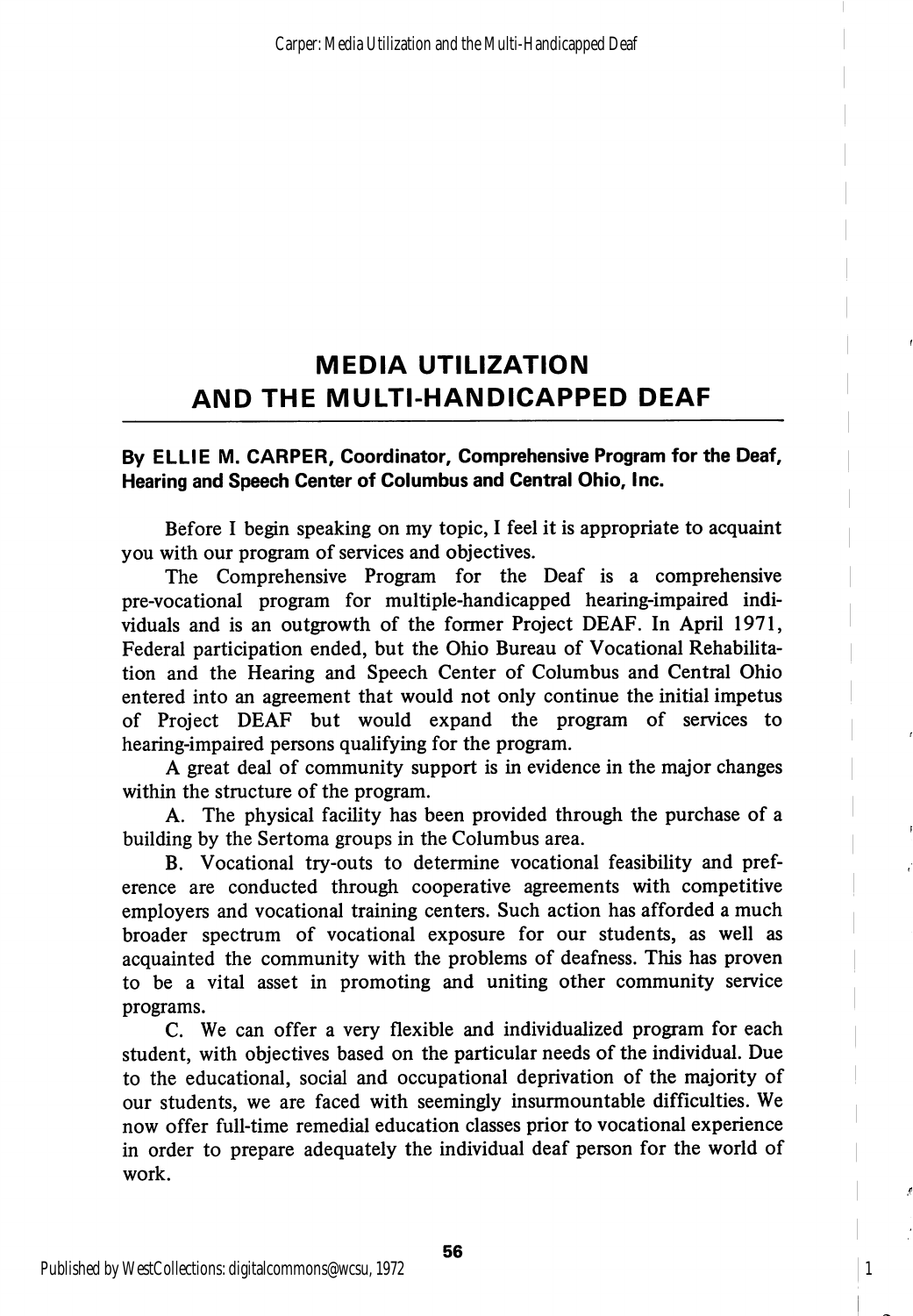## MEDIA UTILIZATION AND THE MULTI-HANDICAPPED DEAF

### By ELLIE M. CARPER, Coordinator, Comprehensive Program for the Deaf, Hearing and Speech Center of Columbus and Central Ohio, Inc.

Before I begin speaking on my topic, I feel it is appropriate to acquaint you with our program of services and objectives.

The Comprehensive Program for the Deaf is a comprehensive pre-vocational program for multiple-handicapped hearing-impaired indi viduals and is an outgrowth of the former Project DEAF. In April 1971, Federal participation ended, but the Ohio Bureau of Vocational Rehabilita tion and the Hearing and Speech Center of Columbus and Central Ohio entered into an agreement that would not only continue the initial impetus of Project DEAF but would expand the program of services to hearing-impaired persons qualifying for the program.

A great deal of community support is in evidence in the major changes within the structure of the program.

A. The physical facility has been provided through the purchase of a building by the Sertoma groups in the Columbus area.

B. Vocational try-outs to determine vocational feasibility and pref erence are conducted through cooperative agreements with competitive employers and vocational training centers. Such action has afforded a much broader spectrum of vocational exposure for our students, as well as acquainted the community with the problems of deafness. This has proven to be a vital asset in promoting and uniting other community service programs.

C. We can offer a very flexible and individualized program for each student, with objectives based on the particular needs of the individual. Due to the educational, social and occupational deprivation of the majority of our students, we are faced with seemingly insurmountable difficulties. We now offer full-time remedial education classes prior to vocational experience in order to prepare adequately the individual deaf person for the world of work.

1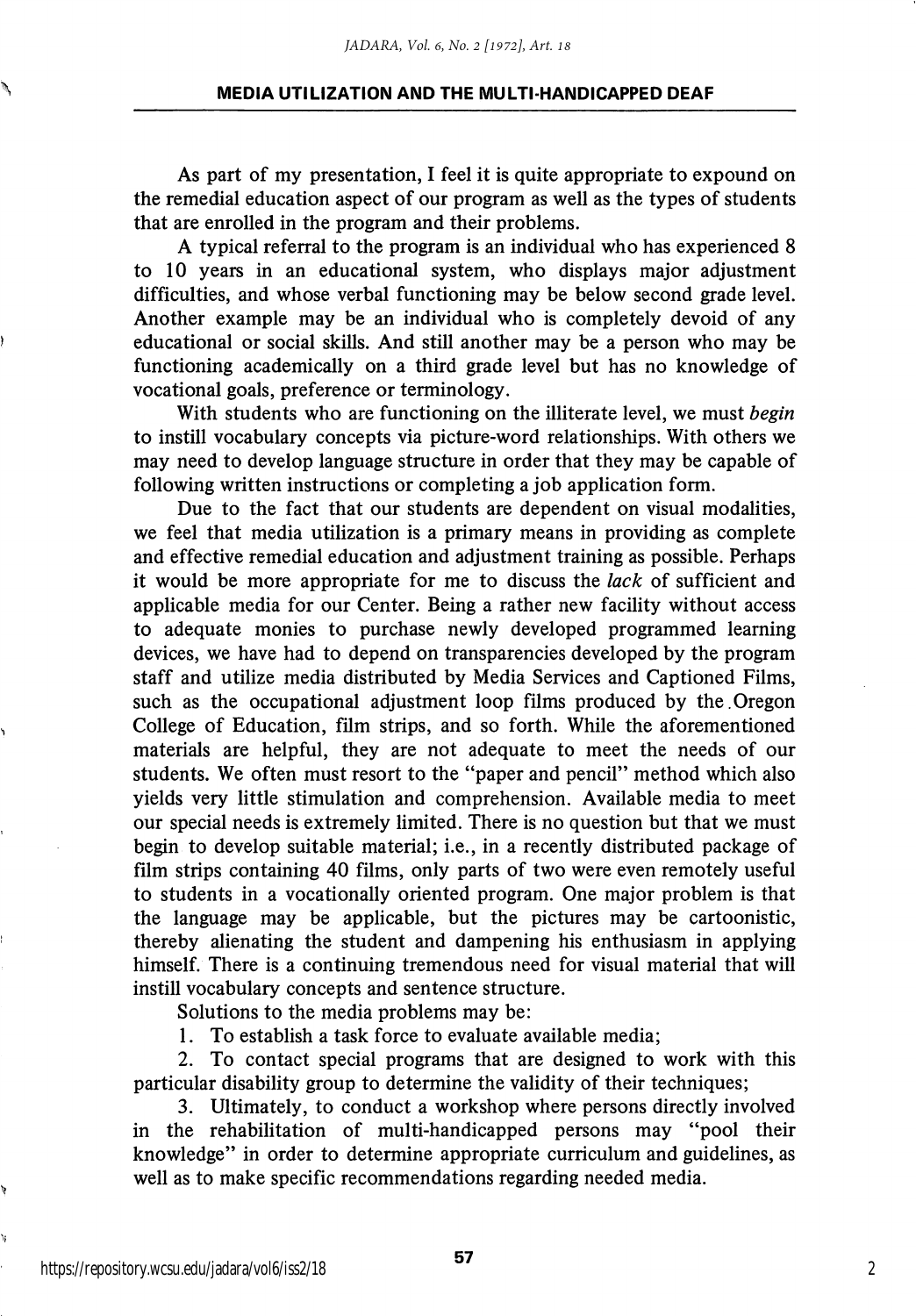#### MEDIA UTILIZATION AND THE MULTI-HANDICAPPED DEAF

As part of my presentation, I feel it is quite appropriate to expound on the remedial education aspect of our program as well as the types of students that are enrolled in the program and their problems.

A typical referral to the program is an individual who has experienced 8 to 10 years in an educational system, who displays major adjustment difficulties, and whose verbal functioning may be below second grade level. Another example may be an individual who is completely devoid of any educational or social skills. And still another may be a person who may be functioning academically on a third grade level but has no knowledge of vocational goals, preference or terminology.

With students who are functioning on the illiterate level, we must begin to instill vocabulary concepts via picture-word relationships. With others we may need to develop language structure in order that they may be capable of following written instructions or completing a job application form.

Due to the fact that our students are dependent on visual modalities, we feel that media utilization is a primary means in providing as complete and effective remedial education and adjustment training as possible. Perhaps it would be more appropriate for me to discuss the lack of sufficient and applicable media for our Center. Being a rather new facility without access to adequate monies to purchase newly developed programmed learning devices, we have had to depend on transparencies developed by the program staff and utilize media distributed by Media Services and Captioned Films, such as the occupational adjustment loop films produced by the.Oregon College of Education, film strips, and so forth. While the aforementioned materials are helpful, they are not adequate to meet the needs of our students. We often must resort to the "paper and pencil" method which also yields very little stimulation and comprehension. Available media to meet our special needs is extremely limited. There is no question but that we must begin to develop suitable material; i.e., in a recently distributed package of film strips containing 40 films, only parts of two were even remotely useful to students in a vocationally oriented program. One major problem is that the language may be applicable, but the pictures may be cartoonistic, thereby alienating the student and dampening his enthusiasm in applying himself. There is a continuing tremendous need for visual material that will instill vocabulary concepts and sentence structure.

Solutions to the media problems may be:

1. To establish a task force to evaluate available media;

2. To contact special programs that are designed to work with this particular disability group to determine the validity of their techniques;

3. Ultimately, to conduct a workshop where persons directly involved in the rehabilitation of multi-handicapped persons may "pool their knowledge" in order to determine appropriate curriculum and guidelines, as well as to make specific recommendations regarding needed media.

https://repository.wcsu.edu/jadara/vol6/iss2/18

١í